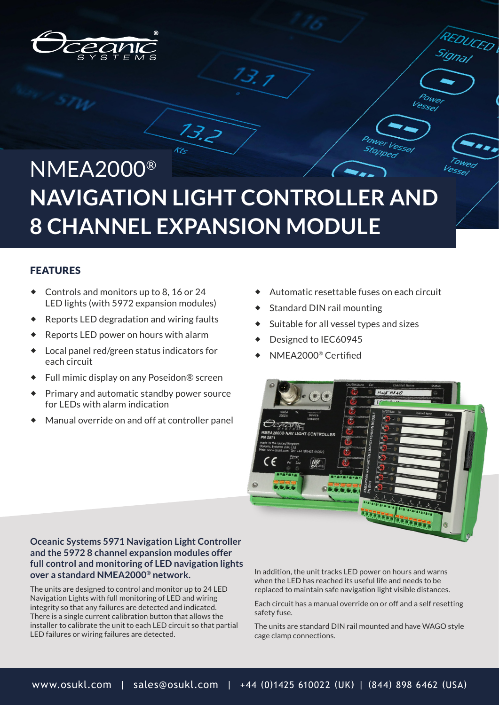

# NMEA2000® **NAVIGATION LIGHT CONTROLLER AND 8 CHANNEL EXPANSION MODULE**

 $13.2$ 

13. 1

### FEATURES

- Controls and monitors up to 8, 16 or 24 LED lights (with 5972 expansion modules)
- Reports LED degradation and wiring faults
- Reports LED power on hours with alarm
- Local panel red/green status indicators for each circuit
- Full mimic display on any Poseidon® screen
- ◆ Primary and automatic standby power source for LEDs with alarm indication
- Manual override on and off at controller panel

Automatic resettable fuses on each circuit

DUCED

PSSP

PPPeo

- Standard DIN rail mounting
- Suitable for all vessel types and sizes
- Designed to IEC60945
- NMEA2000® Certified



### **Oceanic Systems 5971 Navigation Light Controller and the 5972 8 channel expansion modules offer full control and monitoring of LED navigation lights over a standard NMEA2000® network.**

The units are designed to control and monitor up to 24 LED Navigation Lights with full monitoring of LED and wiring integrity so that any failures are detected and indicated. There is a single current calibration button that allows the installer to calibrate the unit to each LED circuit so that partial LED failures or wiring failures are detected.

In addition, the unit tracks LED power on hours and warns when the LED has reached its useful life and needs to be replaced to maintain safe navigation light visible distances.

Each circuit has a manual override on or off and a self resetting safety fuse.

The units are standard DIN rail mounted and have WAGO style cage clamp connections.